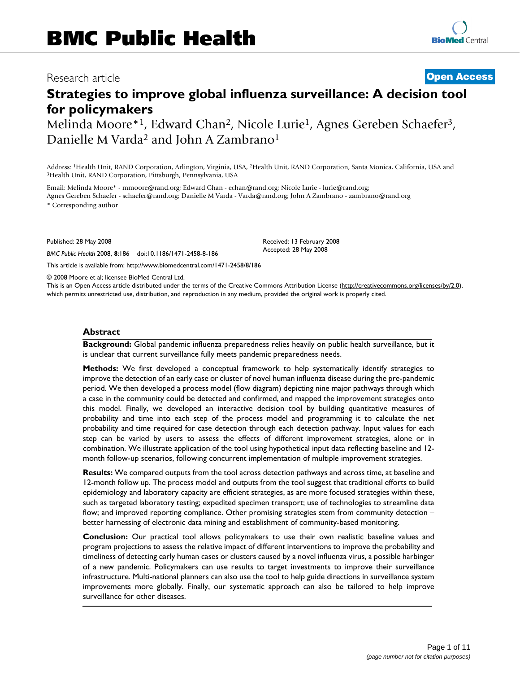## Research article **[Open Access](http://www.biomedcentral.com/info/about/charter/)**

# **Strategies to improve global influenza surveillance: A decision tool for policymakers**

Melinda Moore\*<sup>1</sup>, Edward Chan<sup>2</sup>, Nicole Lurie<sup>1</sup>, Agnes Gereben Schaefer<sup>3</sup>, Danielle M Varda<sup>2</sup> and John A Zambrano<sup>1</sup>

Address: <sup>1</sup>Health Unit, RAND Corporation, Arlington, Virginia, USA, <sup>2</sup>Health Unit, RAND Corporation, Santa Monica, California, USA and <sup>3</sup>Health Unit, RAND Corporation, Pittsburgh, Pennsylvania, USA

Email: Melinda Moore\* - mmoore@rand.org; Edward Chan - echan@rand.org; Nicole Lurie - lurie@rand.org; Agnes Gereben Schaefer - schaefer@rand.org; Danielle M Varda - Varda@rand.org; John A Zambrano - zambrano@rand.org \* Corresponding author

Published: 28 May 2008

*BMC Public Health* 2008, **8**:186 doi:10.1186/1471-2458-8-186

[This article is available from: http://www.biomedcentral.com/1471-2458/8/186](http://www.biomedcentral.com/1471-2458/8/186)

© 2008 Moore et al; licensee BioMed Central Ltd.

This is an Open Access article distributed under the terms of the Creative Commons Attribution License [\(http://creativecommons.org/licenses/by/2.0\)](http://creativecommons.org/licenses/by/2.0), which permits unrestricted use, distribution, and reproduction in any medium, provided the original work is properly cited.

Received: 13 February 2008 Accepted: 28 May 2008

### **Abstract**

**Background:** Global pandemic influenza preparedness relies heavily on public health surveillance, but it is unclear that current surveillance fully meets pandemic preparedness needs.

**Methods:** We first developed a conceptual framework to help systematically identify strategies to improve the detection of an early case or cluster of novel human influenza disease during the pre-pandemic period. We then developed a process model (flow diagram) depicting nine major pathways through which a case in the community could be detected and confirmed, and mapped the improvement strategies onto this model. Finally, we developed an interactive decision tool by building quantitative measures of probability and time into each step of the process model and programming it to calculate the net probability and time required for case detection through each detection pathway. Input values for each step can be varied by users to assess the effects of different improvement strategies, alone or in combination. We illustrate application of the tool using hypothetical input data reflecting baseline and 12 month follow-up scenarios, following concurrent implementation of multiple improvement strategies.

**Results:** We compared outputs from the tool across detection pathways and across time, at baseline and 12-month follow up. The process model and outputs from the tool suggest that traditional efforts to build epidemiology and laboratory capacity are efficient strategies, as are more focused strategies within these, such as targeted laboratory testing; expedited specimen transport; use of technologies to streamline data flow; and improved reporting compliance. Other promising strategies stem from community detection – better harnessing of electronic data mining and establishment of community-based monitoring.

**Conclusion:** Our practical tool allows policymakers to use their own realistic baseline values and program projections to assess the relative impact of different interventions to improve the probability and timeliness of detecting early human cases or clusters caused by a novel influenza virus, a possible harbinger of a new pandemic. Policymakers can use results to target investments to improve their surveillance infrastructure. Multi-national planners can also use the tool to help guide directions in surveillance system improvements more globally. Finally, our systematic approach can also be tailored to help improve surveillance for other diseases.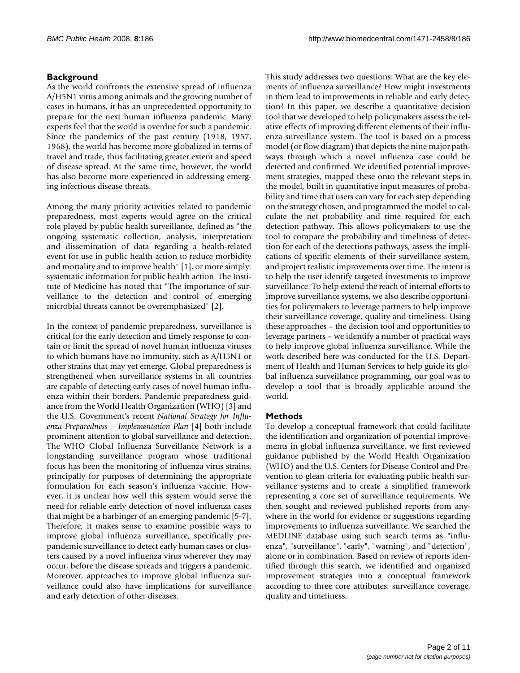### **Background**

As the world confronts the extensive spread of influenza A/H5N1 virus among animals and the growing number of cases in humans, it has an unprecedented opportunity to prepare for the next human influenza pandemic. Many experts feel that the world is overdue for such a pandemic. Since the pandemics of the past century (1918, 1957, 1968), the world has become more globalized in terms of travel and trade, thus facilitating greater extent and speed of disease spread. At the same time, however, the world has also become more experienced in addressing emerging infectious disease threats.

Among the many priority activities related to pandemic preparedness, most experts would agree on the critical role played by public health surveillance, defined as "the ongoing systematic collection, analysis, interpretation and dissemination of data regarding a health-related event for use in public health action to reduce morbidity and mortality and to improve health" [1], or more simply: systematic information for public health action. The Institute of Medicine has noted that "The importance of surveillance to the detection and control of emerging microbial threats cannot be overemphasized" [2].

In the context of pandemic preparedness, surveillance is critical for the early detection and timely response to contain or limit the spread of novel human influenza viruses to which humans have no immunity, such as A/H5N1 or other strains that may yet emerge. Global preparedness is strengthened when surveillance systems in all countries are capable of detecting early cases of novel human influenza within their borders. Pandemic preparedness guidance from the World Health Organization (WHO) [3] and the U.S. Government's recent *National Strategy for Influenza Preparedness – Implementation Plan* [4] both include prominent attention to global surveillance and detection. The WHO Global Influenza Surveillance Network is a longstanding surveillance program whose traditional focus has been the monitoring of influenza virus strains, principally for purposes of determining the appropriate formulation for each season's influenza vaccine. However, it is unclear how well this system would serve the need for reliable early detection of novel influenza cases that might be a harbinger of an emerging pandemic [5-7]. Therefore, it makes sense to examine possible ways to improve global influenza surveillance, specifically prepandemic surveillance to detect early human cases or clusters caused by a novel influenza virus wherever they may occur, before the disease spreads and triggers a pandemic. Moreover, approaches to improve global influenza surveillance could also have implications for surveillance and early detection of other diseases.

This study addresses two questions: What are the key elements of influenza surveillance? How might investments in them lead to improvements in reliable and early detection? In this paper, we describe a quantitative decision tool that we developed to help policymakers assess the relative effects of improving different elements of their influenza surveillance system. The tool is based on a process model (or flow diagram) that depicts the nine major pathways through which a novel influenza case could be detected and confirmed. We identified potential improvement strategies, mapped these onto the relevant steps in the model, built in quantitative input measures of probability and time that users can vary for each step depending on the strategy chosen, and programmed the model to calculate the net probability and time required for each detection pathway. This allows policymakers to use the tool to compare the probability and timeliness of detection for each of the detections pathways, assess the implications of specific elements of their surveillance system, and project realistic improvements over time. The intent is to help the user identify targeted investments to improve surveillance. To help extend the reach of internal efforts to improve surveillance systems, we also describe opportunities for policymakers to leverage partners to help improve their surveillance coverage, quality and timeliness. Using these approaches – the decision tool and opportunities to leverage partners – we identify a number of practical ways to help improve global influenza surveillance. While the work described here was conducted for the U.S. Department of Health and Human Services to help guide its global influenza surveillance programming, our goal was to develop a tool that is broadly applicable around the world.

### **Methods**

To develop a conceptual framework that could facilitate the identification and organization of potential improvements in global influenza surveillance, we first reviewed guidance published by the World Health Organization (WHO) and the U.S. Centers for Disease Control and Prevention to glean criteria for evaluating public health surveillance systems and to create a simplified framework representing a core set of surveillance requirements. We then sought and reviewed published reports from anywhere in the world for evidence or suggestions regarding improvements to influenza surveillance. We searched the MEDLINE database using such search terms as "influenza", "surveillance", "early", "warning", and "detection", alone or in combination. Based on review of reports identified through this search, we identified and organized improvement strategies into a conceptual framework according to three core attributes: surveillance coverage, quality and timeliness.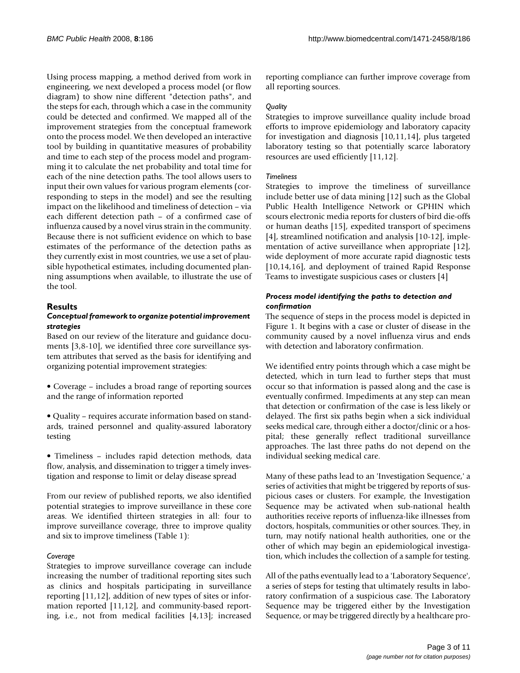Using process mapping, a method derived from work in engineering, we next developed a process model (or flow diagram) to show nine different "detection paths", and the steps for each, through which a case in the community could be detected and confirmed. We mapped all of the improvement strategies from the conceptual framework onto the process model. We then developed an interactive tool by building in quantitative measures of probability and time to each step of the process model and programming it to calculate the net probability and total time for each of the nine detection paths. The tool allows users to input their own values for various program elements (corresponding to steps in the model) and see the resulting impact on the likelihood and timeliness of detection – via each different detection path – of a confirmed case of influenza caused by a novel virus strain in the community. Because there is not sufficient evidence on which to base estimates of the performance of the detection paths as they currently exist in most countries, we use a set of plausible hypothetical estimates, including documented planning assumptions when available, to illustrate the use of the tool.

### **Results**

### *Conceptual framework to organize potential improvement strategies*

Based on our review of the literature and guidance documents [3,8-10], we identified three core surveillance system attributes that served as the basis for identifying and organizing potential improvement strategies:

- Coverage includes a broad range of reporting sources and the range of information reported
- Quality requires accurate information based on standards, trained personnel and quality-assured laboratory testing
- Timeliness includes rapid detection methods, data flow, analysis, and dissemination to trigger a timely investigation and response to limit or delay disease spread

From our review of published reports, we also identified potential strategies to improve surveillance in these core areas. We identified thirteen strategies in all: four to improve surveillance coverage, three to improve quality and six to improve timeliness (Table 1):

### *Coverage*

Strategies to improve surveillance coverage can include increasing the number of traditional reporting sites such as clinics and hospitals participating in surveillance reporting [11,12], addition of new types of sites or information reported [11,12], and community-based reporting, i.e., not from medical facilities [4,13]; increased reporting compliance can further improve coverage from all reporting sources.

### *Quality*

Strategies to improve surveillance quality include broad efforts to improve epidemiology and laboratory capacity for investigation and diagnosis [10,11,14], plus targeted laboratory testing so that potentially scarce laboratory resources are used efficiently [11,12].

### *Timeliness*

Strategies to improve the timeliness of surveillance include better use of data mining [12] such as the Global Public Health Intelligence Network or GPHIN which scours electronic media reports for clusters of bird die-offs or human deaths [15], expedited transport of specimens [4], streamlined notification and analysis [10-12], implementation of active surveillance when appropriate [12], wide deployment of more accurate rapid diagnostic tests [10,14,16], and deployment of trained Rapid Response Teams to investigate suspicious cases or clusters [4]

### *Process model identifying the paths to detection and confirmation*

The sequence of steps in the process model is depicted in Figure 1. It begins with a case or cluster of disease in the community caused by a novel influenza virus and ends with detection and laboratory confirmation.

We identified entry points through which a case might be detected, which in turn lead to further steps that must occur so that information is passed along and the case is eventually confirmed. Impediments at any step can mean that detection or confirmation of the case is less likely or delayed. The first six paths begin when a sick individual seeks medical care, through either a doctor/clinic or a hospital; these generally reflect traditional surveillance approaches. The last three paths do not depend on the individual seeking medical care.

Many of these paths lead to an 'Investigation Sequence,' a series of activities that might be triggered by reports of suspicious cases or clusters. For example, the Investigation Sequence may be activated when sub-national health authorities receive reports of influenza-like illnesses from doctors, hospitals, communities or other sources. They, in turn, may notify national health authorities, one or the other of which may begin an epidemiological investigation, which includes the collection of a sample for testing.

All of the paths eventually lead to a 'Laboratory Sequence', a series of steps for testing that ultimately results in laboratory confirmation of a suspicious case. The Laboratory Sequence may be triggered either by the Investigation Sequence, or may be triggered directly by a healthcare pro-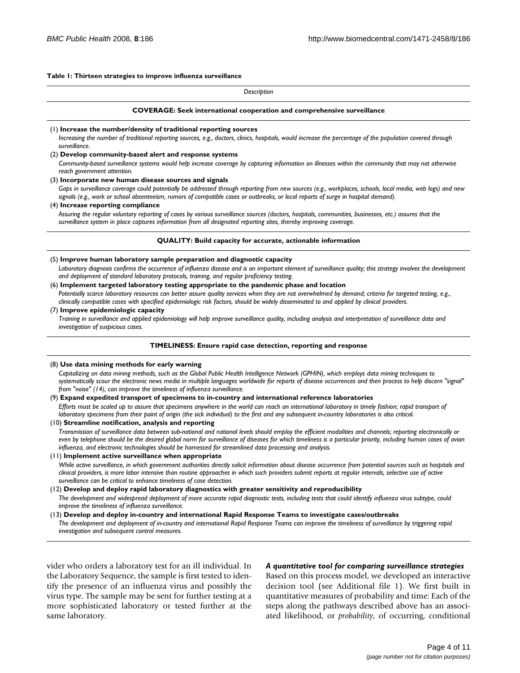#### **Table 1: Thirteen strategies to improve influenza surveillance**

*Description*

#### **COVERAGE: Seek international cooperation and comprehensive surveillance**

#### (1) **Increase the number/density of traditional reporting sources**

*Increasing the number of traditional reporting sources, e.g., doctors, clinics, hospitals, would increase the percentage of the population covered through surveillance.*

### (2) **Develop community-based alert and response systems**

*Community-based surveillance systems would help increase coverage by capturing information on illnesses within the community that may not otherwise reach government attention.*

#### (3) **Incorporate new human disease sources and signals**

*Gaps in surveillance coverage could potentially be addressed through reporting from new sources (e.g., workplaces, schools, local media, web logs) and new signals (e.g., work or school absenteeism, rumors of compatible cases or outbreaks, or local reports of surge in hospital demand).*

#### (4) **Increase reporting compliance**

*Assuring the regular voluntary reporting of cases by various surveillance sources (doctors, hospitals, communities, businesses, etc.) assures that the surveillance system in place captures information from all designated reporting sites, thereby improving coverage.*

#### **QUALITY: Build capacity for accurate, actionable information**

### (5) **Improve human laboratory sample preparation and diagnostic capacity**

Laboratory diagnosis confirms the occurrence of influenza disease and is an important element of surveillance quality; this strategy involves the development *and deployment of standard laboratory protocols, training, and regular proficiency testing.*

#### (6) **Implement targeted laboratory testing appropriate to the pandemic phase and location**

*Potentially scarce laboratory resources can better assure quality services when they are not overwhelmed by demand; criteria for targeted testing, e.g., clinically compatible cases with specified epidemiologic risk factors, should be widely disseminated to and applied by clinical providers.*

(7) **Improve epidemiologic capacity**

*Training in surveillance and applied epidemiology will help improve surveillance quality, including analysis and interpretation of surveillance data and investigation of suspicious cases.*

#### **TIMELINESS: Ensure rapid case detection, reporting and response**

#### (8) **Use data mining methods for early warning**

*Capitalizing on data mining methods, such as the Global Public Health Intelligence Network (GPHIN), which employs data mining techniques to systematically scour the electronic news media in multiple languages worldwide for reports of disease occurrences and then process to help discern "signal" from "noise" (14), can improve the timeliness of influenza surveillance.*

#### (9) **Expand expedited transport of specimens to in-country and international reference laboratories**

*Efforts must be scaled up to assure that specimens anywhere in the world can reach an international laboratory in timely fashion; rapid transport of laboratory specimens from their point of origin (the sick individual) to the first and any subsequent in-country laboratories is also critical.*

(10) **Streamline notification, analysis and reporting**

*Transmission of surveillance data between sub-national and national levels should employ the efficient modalities and channels; reporting electronically or*  even by telephone should be the desired global norm for surveillance of diseases for which timeliness is a particular priority, including human cases of avian *influenza, and electronic technologies should be harnessed for streamlined data processing and analysis.*

(11) **Implement active surveillance when appropriate**

*While active surveillance, in which government authorities directly solicit information about disease occurrence from potential sources such as hospitals and clinical providers, is more labor intensive than routine approaches in which such providers submit reports at regular intervals, selective use of active surveillance can be critical to enhance timeliness of case detection.*

#### (12) **Develop and deploy rapid laboratory diagnostics with greater sensitivity and reproducibility**

*The development and widespread deployment of more accurate rapid diagnostic tests, including tests that could identify influenza virus subtype, could improve the timeliness of influenza surveillance.*

### (13) **Develop and deploy in-country and international Rapid Response Teams to investigate cases/outbreaks**

*The development and deployment of in-country and international Rapid Response Teams can improve the timeliness of surveillance by triggering rapid investigation and subsequent control measures.*

vider who orders a laboratory test for an ill individual. In the Laboratory Sequence, the sample is first tested to identify the presence of an influenza virus and possibly the virus type. The sample may be sent for further testing at a more sophisticated laboratory or tested further at the same laboratory.

#### *A quantitative tool for comparing surveillance strategies*

Based on this process model, we developed an interactive decision tool (see Additional file 1). We first built in quantitative measures of probability and time: Each of the steps along the pathways described above has an associated likelihood, or *probability*, of occurring, conditional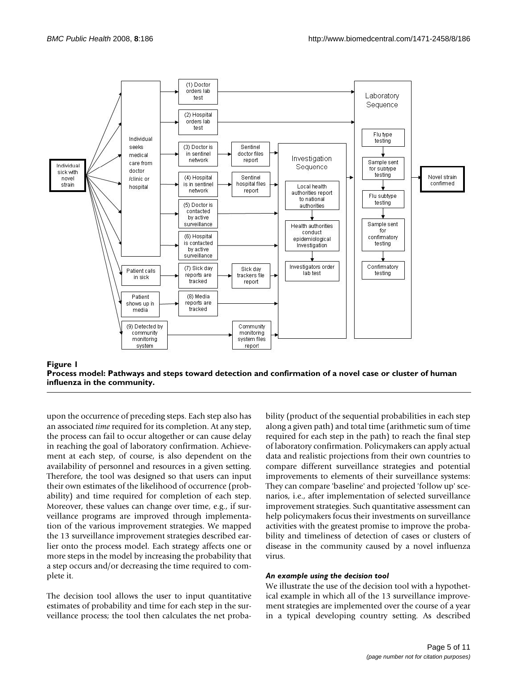



upon the occurrence of preceding steps. Each step also has an associated *time* required for its completion. At any step, the process can fail to occur altogether or can cause delay in reaching the goal of laboratory confirmation. Achievement at each step, of course, is also dependent on the availability of personnel and resources in a given setting. Therefore, the tool was designed so that users can input their own estimates of the likelihood of occurrence (probability) and time required for completion of each step. Moreover, these values can change over time, e.g., if surveillance programs are improved through implementation of the various improvement strategies. We mapped the 13 surveillance improvement strategies described earlier onto the process model. Each strategy affects one or more steps in the model by increasing the probability that a step occurs and/or decreasing the time required to complete it.

The decision tool allows the user to input quantitative estimates of probability and time for each step in the surveillance process; the tool then calculates the net probability (product of the sequential probabilities in each step along a given path) and total time (arithmetic sum of time required for each step in the path) to reach the final step of laboratory confirmation. Policymakers can apply actual data and realistic projections from their own countries to compare different surveillance strategies and potential improvements to elements of their surveillance systems: They can compare 'baseline' and projected 'follow up' scenarios, i.e., after implementation of selected surveillance improvement strategies. Such quantitative assessment can help policymakers focus their investments on surveillance activities with the greatest promise to improve the probability and timeliness of detection of cases or clusters of disease in the community caused by a novel influenza virus.

### *An example using the decision tool*

We illustrate the use of the decision tool with a hypothetical example in which all of the 13 surveillance improvement strategies are implemented over the course of a year in a typical developing country setting. As described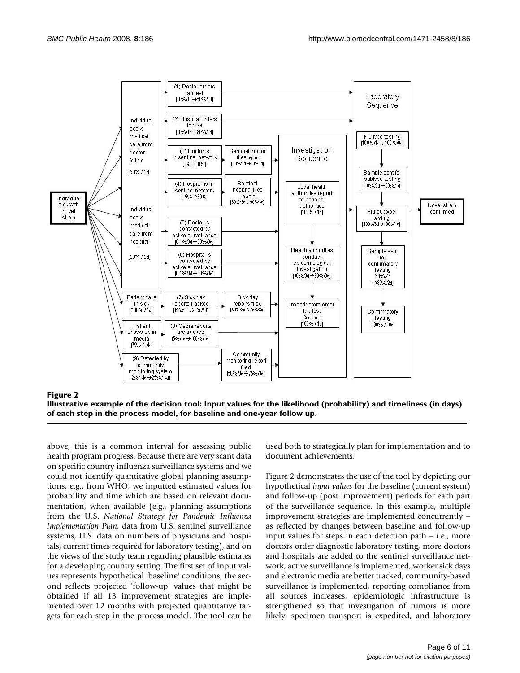

**Illustrative example of the decision tool: Input values for the likelihood (probability) and timeliness (in days) of each step in the process model, for baseline and one-year follow up.**

above, this is a common interval for assessing public health program progress. Because there are very scant data on specific country influenza surveillance systems and we could not identify quantitative global planning assumptions, e.g., from WHO, we inputted estimated values for probability and time which are based on relevant documentation, when available (e.g., planning assumptions from the U.S. *National Strategy for Pandemic Influenza Implementation Plan*, data from U.S. sentinel surveillance systems, U.S. data on numbers of physicians and hospitals, current times required for laboratory testing), and on the views of the study team regarding plausible estimates for a developing country setting. The first set of input values represents hypothetical 'baseline' conditions; the second reflects projected 'follow-up' values that might be obtained if all 13 improvement strategies are implemented over 12 months with projected quantitative targets for each step in the process model. The tool can be used both to strategically plan for implementation and to document achievements.

Figure 2 demonstrates the use of the tool by depicting our hypothetical *input values* for the baseline (current system) and follow-up (post improvement) periods for each part of the surveillance sequence. In this example, multiple improvement strategies are implemented concurrently – as reflected by changes between baseline and follow-up input values for steps in each detection path – i.e., more doctors order diagnostic laboratory testing, more doctors and hospitals are added to the sentinel surveillance network, active surveillance is implemented, worker sick days and electronic media are better tracked, community-based surveillance is implemented, reporting compliance from all sources increases, epidemiologic infrastructure is strengthened so that investigation of rumors is more likely, specimen transport is expedited, and laboratory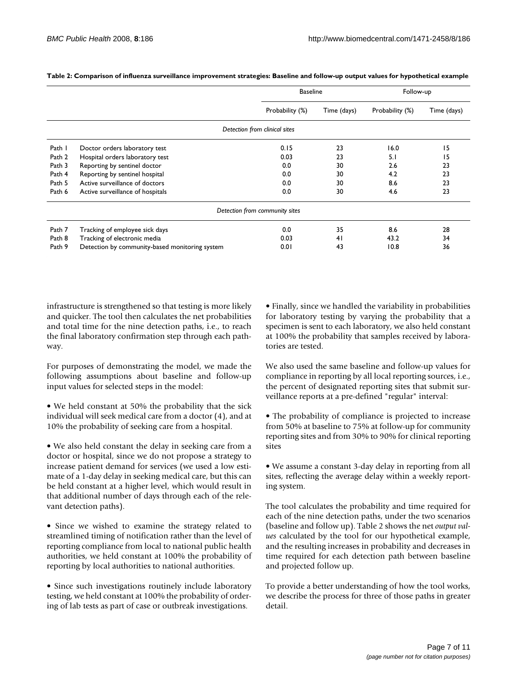|        |                                                |                                | <b>Baseline</b> |                 | Follow-up   |  |
|--------|------------------------------------------------|--------------------------------|-----------------|-----------------|-------------|--|
|        |                                                | Probability (%)                | Time (days)     | Probability (%) | Time (days) |  |
|        |                                                | Detection from clinical sites  |                 |                 |             |  |
| Path I | Doctor orders laboratory test                  | 0.15                           | 23              | 16.0            | 15          |  |
| Path 2 | Hospital orders laboratory test                | 0.03                           | 23              | 5.1             | 15          |  |
| Path 3 | Reporting by sentinel doctor                   | 0.0                            | 30              | 2.6             | 23          |  |
| Path 4 | Reporting by sentinel hospital                 | 0.0                            | 30              | 4.2             | 23          |  |
| Path 5 | Active surveillance of doctors                 | 0.0                            | 30              | 8.6             | 23          |  |
| Path 6 | Active surveillance of hospitals               | 0.0                            | 30              | 4.6             | 23          |  |
|        |                                                | Detection from community sites |                 |                 |             |  |
| Path 7 | Tracking of employee sick days                 | 0.0                            | 35              | 8.6             | 28          |  |
| Path 8 | Tracking of electronic media                   | 0.03                           | 41              | 43.2            | 34          |  |
| Path 9 | Detection by community-based monitoring system | 0.01                           | 43              | 10.8            | 36          |  |

**Table 2: Comparison of influenza surveillance improvement strategies: Baseline and follow-up output values for hypothetical example**

infrastructure is strengthened so that testing is more likely and quicker. The tool then calculates the net probabilities and total time for the nine detection paths, i.e., to reach the final laboratory confirmation step through each pathway.

For purposes of demonstrating the model, we made the following assumptions about baseline and follow-up input values for selected steps in the model:

• We held constant at 50% the probability that the sick individual will seek medical care from a doctor (4), and at 10% the probability of seeking care from a hospital.

• We also held constant the delay in seeking care from a doctor or hospital, since we do not propose a strategy to increase patient demand for services (we used a low estimate of a 1-day delay in seeking medical care, but this can be held constant at a higher level, which would result in that additional number of days through each of the relevant detection paths).

• Since we wished to examine the strategy related to streamlined timing of notification rather than the level of reporting compliance from local to national public health authorities, we held constant at 100% the probability of reporting by local authorities to national authorities.

• Since such investigations routinely include laboratory testing, we held constant at 100% the probability of ordering of lab tests as part of case or outbreak investigations.

• Finally, since we handled the variability in probabilities for laboratory testing by varying the probability that a specimen is sent to each laboratory, we also held constant at 100% the probability that samples received by laboratories are tested.

We also used the same baseline and follow-up values for compliance in reporting by all local reporting sources, i.e., the percent of designated reporting sites that submit surveillance reports at a pre-defined "regular" interval:

• The probability of compliance is projected to increase from 50% at baseline to 75% at follow-up for community reporting sites and from 30% to 90% for clinical reporting sites

• We assume a constant 3-day delay in reporting from all sites, reflecting the average delay within a weekly reporting system.

The tool calculates the probability and time required for each of the nine detection paths, under the two scenarios (baseline and follow up). Table 2 shows the net *output values* calculated by the tool for our hypothetical example, and the resulting increases in probability and decreases in time required for each detection path between baseline and projected follow up.

To provide a better understanding of how the tool works, we describe the process for three of those paths in greater detail.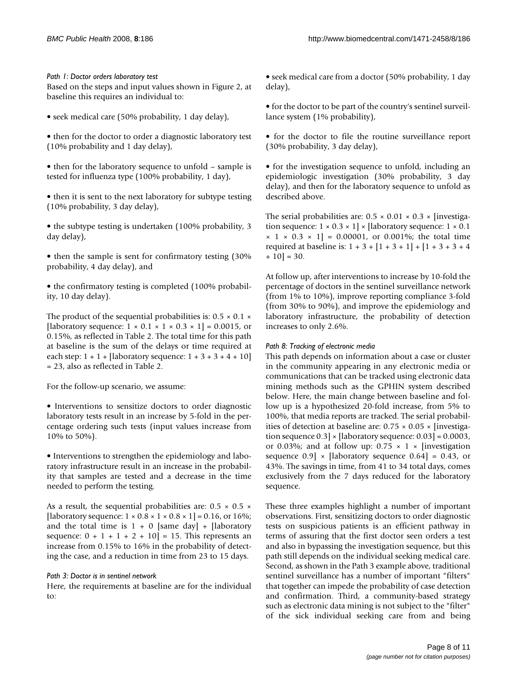*Path 1: Doctor orders laboratory test*

Based on the steps and input values shown in Figure 2, at baseline this requires an individual to:

• seek medical care (50% probability, 1 day delay),

• then for the doctor to order a diagnostic laboratory test (10% probability and 1 day delay),

• then for the laboratory sequence to unfold – sample is tested for influenza type (100% probability, 1 day),

• then it is sent to the next laboratory for subtype testing (10% probability, 3 day delay),

• the subtype testing is undertaken (100% probability, 3) day delay),

• then the sample is sent for confirmatory testing (30%) probability, 4 day delay), and

• the confirmatory testing is completed (100% probability, 10 day delay).

The product of the sequential probabilities is:  $0.5 \times 0.1 \times$ [laboratory sequence:  $1 \times 0.1 \times 1 \times 0.3 \times 1$ ] = 0.0015, or 0.15%, as reflected in Table 2. The total time for this path at baseline is the sum of the delays or time required at each step:  $1 + 1 +$  [laboratory sequence:  $1 + 3 + 3 + 4 + 10$ ] = 23, also as reflected in Table 2.

For the follow-up scenario, we assume:

• Interventions to sensitize doctors to order diagnostic laboratory tests result in an increase by 5-fold in the percentage ordering such tests (input values increase from 10% to 50%).

• Interventions to strengthen the epidemiology and laboratory infrastructure result in an increase in the probability that samples are tested and a decrease in the time needed to perform the testing.

As a result, the sequential probabilities are:  $0.5 \times 0.5 \times$ [laboratory sequence:  $1 \times 0.8 \times 1 \times 0.8 \times 1$ ] = 0.16, or 16%; and the total time is  $1 + 0$  [same day] + [laboratory sequence:  $0 + 1 + 1 + 2 + 10$  = 15. This represents an increase from 0.15% to 16% in the probability of detecting the case, and a reduction in time from 23 to 15 days.

### *Path 3: Doctor is in sentinel network*

Here, the requirements at baseline are for the individual to:

• seek medical care from a doctor (50% probability, 1 day delay),

• for the doctor to be part of the country's sentinel surveillance system (1% probability),

• for the doctor to file the routine surveillance report (30% probability, 3 day delay),

• for the investigation sequence to unfold, including an epidemiologic investigation (30% probability, 3 day delay), and then for the laboratory sequence to unfold as described above.

The serial probabilities are:  $0.5 \times 0.01 \times 0.3 \times$  [investigation sequence:  $1 \times 0.3 \times 1$  × [laboratory sequence:  $1 \times 0.1$  $\times$  1  $\times$  0.3  $\times$  1] = 0.00001, or 0.001%; the total time required at baseline is:  $1 + 3 + [1 + 3 + 1] + [1 + 3 + 3 + 4]$  $+ 10$ ] = 30.

At follow up, after interventions to increase by 10-fold the percentage of doctors in the sentinel surveillance network (from 1% to 10%), improve reporting compliance 3-fold (from 30% to 90%), and improve the epidemiology and laboratory infrastructure, the probability of detection increases to only 2.6%.

### *Path 8: Tracking of electronic media*

This path depends on information about a case or cluster in the community appearing in any electronic media or communications that can be tracked using electronic data mining methods such as the GPHIN system described below. Here, the main change between baseline and follow up is a hypothesized 20-fold increase, from 5% to 100%, that media reports are tracked. The serial probabilities of detection at baseline are:  $0.75 \times 0.05 \times$  [investigation sequence  $0.3$  × [laboratory sequence:  $0.03$ ] =  $0.0003$ , or 0.03%; and at follow up:  $0.75 \times 1 \times$  [investigation] sequence  $0.9$  × [laboratory sequence  $0.64$ ] = 0.43, or 43%. The savings in time, from 41 to 34 total days, comes exclusively from the 7 days reduced for the laboratory sequence.

These three examples highlight a number of important observations. First, sensitizing doctors to order diagnostic tests on suspicious patients is an efficient pathway in terms of assuring that the first doctor seen orders a test and also in bypassing the investigation sequence, but this path still depends on the individual seeking medical care. Second, as shown in the Path 3 example above, traditional sentinel surveillance has a number of important "filters" that together can impede the probability of case detection and confirmation. Third, a community-based strategy such as electronic data mining is not subject to the "filter" of the sick individual seeking care from and being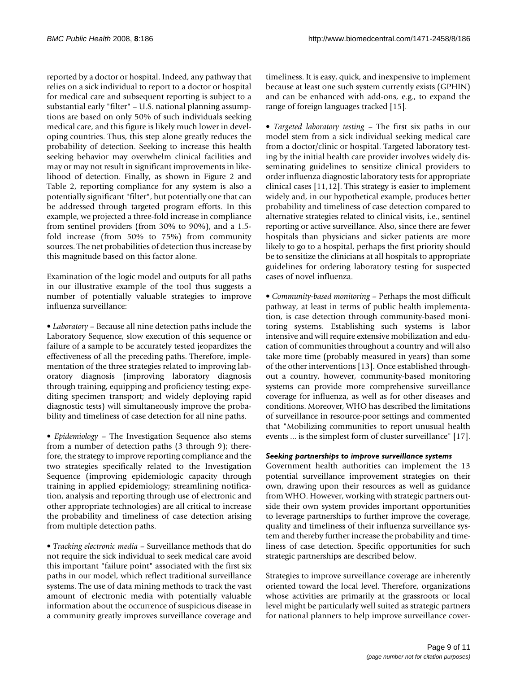reported by a doctor or hospital. Indeed, any pathway that relies on a sick individual to report to a doctor or hospital for medical care and subsequent reporting is subject to a substantial early "filter" – U.S. national planning assumptions are based on only 50% of such individuals seeking medical care, and this figure is likely much lower in developing countries. Thus, this step alone greatly reduces the probability of detection. Seeking to increase this health seeking behavior may overwhelm clinical facilities and may or may not result in significant improvements in likelihood of detection. Finally, as shown in Figure 2 and Table 2, reporting compliance for any system is also a potentially significant "filter", but potentially one that can be addressed through targeted program efforts. In this example, we projected a three-fold increase in compliance from sentinel providers (from 30% to 90%), and a 1.5 fold increase (from 50% to 75%) from community sources. The net probabilities of detection thus increase by this magnitude based on this factor alone.

Examination of the logic model and outputs for all paths in our illustrative example of the tool thus suggests a number of potentially valuable strategies to improve influenza surveillance:

• *Laboratory* – Because all nine detection paths include the Laboratory Sequence, slow execution of this sequence or failure of a sample to be accurately tested jeopardizes the effectiveness of all the preceding paths. Therefore, implementation of the three strategies related to improving laboratory diagnosis (improving laboratory diagnosis through training, equipping and proficiency testing; expediting specimen transport; and widely deploying rapid diagnostic tests) will simultaneously improve the probability and timeliness of case detection for all nine paths.

• *Epidemiology* – The Investigation Sequence also stems from a number of detection paths (3 through 9); therefore, the strategy to improve reporting compliance and the two strategies specifically related to the Investigation Sequence (improving epidemiologic capacity through training in applied epidemiology; streamlining notification, analysis and reporting through use of electronic and other appropriate technologies) are all critical to increase the probability and timeliness of case detection arising from multiple detection paths.

• *Tracking electronic media* – Surveillance methods that do not require the sick individual to seek medical care avoid this important "failure point" associated with the first six paths in our model, which reflect traditional surveillance systems. The use of data mining methods to track the vast amount of electronic media with potentially valuable information about the occurrence of suspicious disease in a community greatly improves surveillance coverage and

timeliness. It is easy, quick, and inexpensive to implement because at least one such system currently exists (GPHIN) and can be enhanced with add-ons, e.g., to expand the range of foreign languages tracked [15].

• *Targeted laboratory testing* – The first six paths in our model stem from a sick individual seeking medical care from a doctor/clinic or hospital. Targeted laboratory testing by the initial health care provider involves widely disseminating guidelines to sensitize clinical providers to order influenza diagnostic laboratory tests for appropriate clinical cases [11,12]. This strategy is easier to implement widely and, in our hypothetical example, produces better probability and timeliness of case detection compared to alternative strategies related to clinical visits, i.e., sentinel reporting or active surveillance. Also, since there are fewer hospitals than physicians and sicker patients are more likely to go to a hospital, perhaps the first priority should be to sensitize the clinicians at all hospitals to appropriate guidelines for ordering laboratory testing for suspected cases of novel influenza.

• *Community-based monitoring* – Perhaps the most difficult pathway, at least in terms of public health implementation, is case detection through community-based monitoring systems. Establishing such systems is labor intensive and will require extensive mobilization and education of communities throughout a country and will also take more time (probably measured in years) than some of the other interventions [13]. Once established throughout a country, however, community-based monitoring systems can provide more comprehensive surveillance coverage for influenza, as well as for other diseases and conditions. Moreover, WHO has described the limitations of surveillance in resource-poor settings and commented that "Mobilizing communities to report unusual health events ... is the simplest form of cluster surveillance" [17].

### *Seeking partnerships to improve surveillance systems*

Government health authorities can implement the 13 potential surveillance improvement strategies on their own, drawing upon their resources as well as guidance from WHO. However, working with strategic partners outside their own system provides important opportunities to leverage partnerships to further improve the coverage, quality and timeliness of their influenza surveillance system and thereby further increase the probability and timeliness of case detection. Specific opportunities for such strategic partnerships are described below.

Strategies to improve surveillance coverage are inherently oriented toward the local level. Therefore, organizations whose activities are primarily at the grassroots or local level might be particularly well suited as strategic partners for national planners to help improve surveillance cover-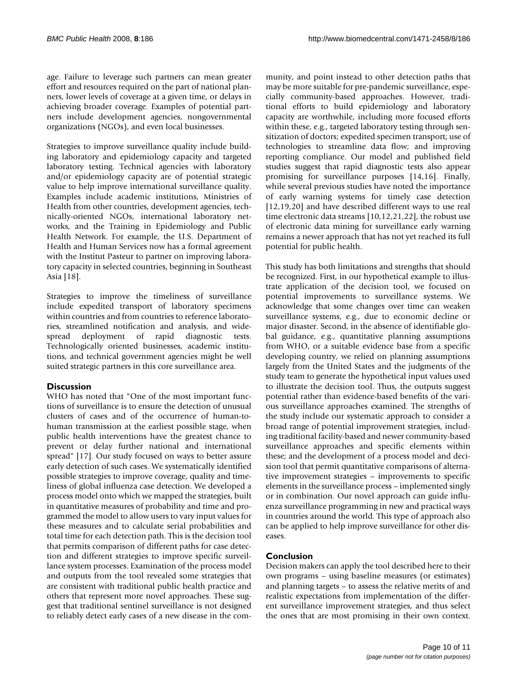age. Failure to leverage such partners can mean greater effort and resources required on the part of national planners, lower levels of coverage at a given time, or delays in achieving broader coverage. Examples of potential partners include development agencies, nongovernmental organizations (NGOs), and even local businesses.

Strategies to improve surveillance quality include building laboratory and epidemiology capacity and targeted laboratory testing. Technical agencies with laboratory and/or epidemiology capacity are of potential strategic value to help improve international surveillance quality. Examples include academic institutions, Ministries of Health from other countries, development agencies, technically-oriented NGOs, international laboratory networks, and the Training in Epidemiology and Public Health Network. For example, the U.S. Department of Health and Human Services now has a formal agreement with the Institut Pasteur to partner on improving laboratory capacity in selected countries, beginning in Southeast Asia [18].

Strategies to improve the timeliness of surveillance include expedited transport of laboratory specimens within countries and from countries to reference laboratories, streamlined notification and analysis, and widespread deployment of rapid diagnostic tests. Technologically oriented businesses, academic institutions, and technical government agencies might be well suited strategic partners in this core surveillance area.

### **Discussion**

WHO has noted that "One of the most important functions of surveillance is to ensure the detection of unusual clusters of cases and of the occurrence of human-tohuman transmission at the earliest possible stage, when public health interventions have the greatest chance to prevent or delay further national and international spread" [17]. Our study focused on ways to better assure early detection of such cases. We systematically identified possible strategies to improve coverage, quality and timeliness of global influenza case detection. We developed a process model onto which we mapped the strategies, built in quantitative measures of probability and time and programmed the model to allow users to vary input values for these measures and to calculate serial probabilities and total time for each detection path. This is the decision tool that permits comparison of different paths for case detection and different strategies to improve specific surveillance system processes. Examination of the process model and outputs from the tool revealed some strategies that are consistent with traditional public health practice and others that represent more novel approaches. These suggest that traditional sentinel surveillance is not designed to reliably detect early cases of a new disease in the community, and point instead to other detection paths that may be more suitable for pre-pandemic surveillance, especially community-based approaches. However, traditional efforts to build epidemiology and laboratory capacity are worthwhile, including more focused efforts within these, e.g., targeted laboratory testing through sensitization of doctors; expedited specimen transport; use of technologies to streamline data flow; and improving reporting compliance. Our model and published field studies suggest that rapid diagnostic tests also appear promising for surveillance purposes [14,16]. Finally, while several previous studies have noted the importance of early warning systems for timely case detection [12,19,20] and have described different ways to use real time electronic data streams [10,12,21,22], the robust use of electronic data mining for surveillance early warning remains a newer approach that has not yet reached its full potential for public health.

This study has both limitations and strengths that should be recognized. First, in our hypothetical example to illustrate application of the decision tool, we focused on potential improvements to surveillance systems. We acknowledge that some changes over time can weaken surveillance systems, e.g., due to economic decline or major disaster. Second, in the absence of identifiable global guidance, e.g., quantitative planning assumptions from WHO, or a suitable evidence base from a specific developing country, we relied on planning assumptions largely from the United States and the judgments of the study team to generate the hypothetical input values used to illustrate the decision tool. Thus, the outputs suggest potential rather than evidence-based benefits of the various surveillance approaches examined. The strengths of the study include our systematic approach to consider a broad range of potential improvement strategies, including traditional facility-based and newer community-based surveillance approaches and specific elements within these; and the development of a process model and decision tool that permit quantitative comparisons of alternative improvement strategies – improvements to specific elements in the surveillance process – implemented singly or in combination. Our novel approach can guide influenza surveillance programming in new and practical ways in countries around the world. This type of approach also can be applied to help improve surveillance for other diseases.

### **Conclusion**

Decision makers can apply the tool described here to their own programs – using baseline measures (or estimates) and planning targets – to assess the relative merits of and realistic expectations from implementation of the different surveillance improvement strategies, and thus select the ones that are most promising in their own context.